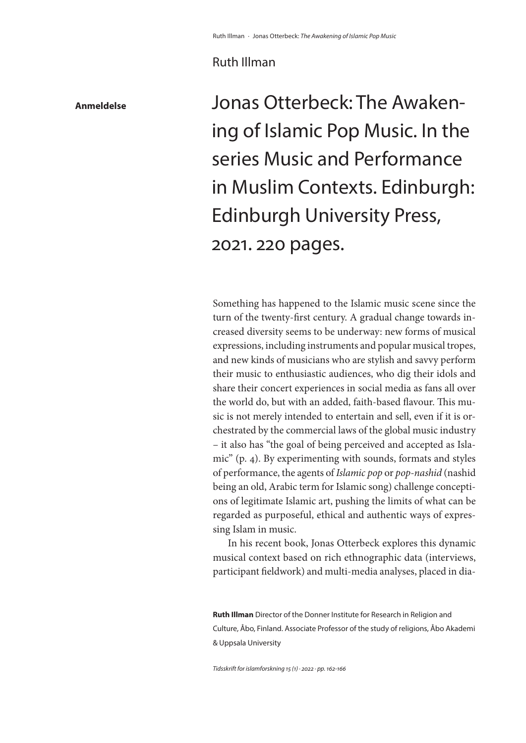## Ruth Illman

**Anmeldelse**

Jonas Otterbeck: The Awakening of Islamic Pop Music. In the series Music and Performance in Muslim Contexts. Edinburgh: Edinburgh University Press, 2021. 220 pages.

Something has happened to the Islamic music scene since the turn of the twenty-first century. A gradual change towards increased diversity seems to be underway: new forms of musical expressions, including instruments and popular musical tropes, and new kinds of musicians who are stylish and savvy perform their music to enthusiastic audiences, who dig their idols and share their concert experiences in social media as fans all over the world do, but with an added, faith-based flavour. This music is not merely intended to entertain and sell, even if it is orchestrated by the commercial laws of the global music industry – it also has "the goal of being perceived and accepted as Islamic" (p. 4). By experimenting with sounds, formats and styles of performance, the agents of *Islamic pop* or *pop-nashid* (nashid being an old, Arabic term for Islamic song) challenge conceptions of legitimate Islamic art, pushing the limits of what can be regarded as purposeful, ethical and authentic ways of expressing Islam in music.

In his recent book, Jonas Otterbeck explores this dynamic musical context based on rich ethnographic data (interviews, participant fieldwork) and multi-media analyses, placed in dia-

**Ruth Illman** Director of the Donner Institute for Research in Religion and Culture, Åbo, Finland. Associate Professor of the study of religions, Åbo Akademi & Uppsala University

*Tidsskrift for islamforskning 15 (1) · 2022 · pp. 162-166*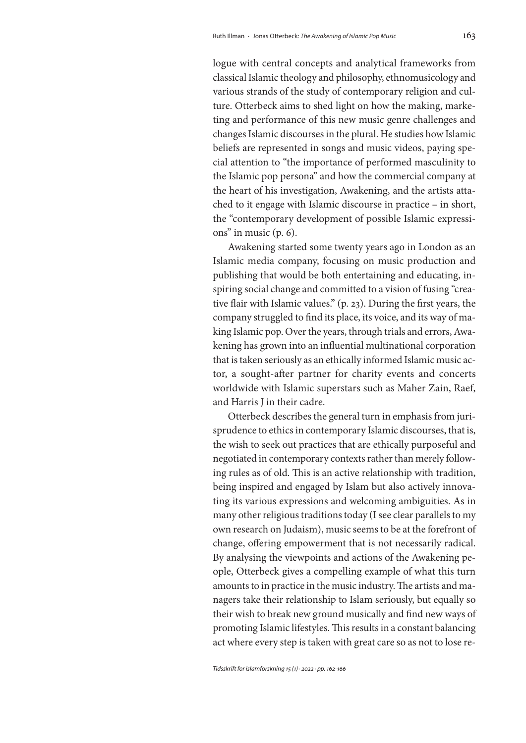logue with central concepts and analytical frameworks from classical Islamic theology and philosophy, ethnomusicology and various strands of the study of contemporary religion and culture. Otterbeck aims to shed light on how the making, marketing and performance of this new music genre challenges and changes Islamic discourses in the plural. He studies how Islamic beliefs are represented in songs and music videos, paying special attention to "the importance of performed masculinity to the Islamic pop persona" and how the commercial company at the heart of his investigation, Awakening, and the artists attached to it engage with Islamic discourse in practice – in short, the "contemporary development of possible Islamic expressions" in music (p. 6).

Awakening started some twenty years ago in London as an Islamic media company, focusing on music production and publishing that would be both entertaining and educating, inspiring social change and committed to a vision of fusing "creative flair with Islamic values." (p. 23). During the first years, the company struggled to find its place, its voice, and its way of making Islamic pop. Over the years, through trials and errors, Awakening has grown into an influential multinational corporation that is taken seriously as an ethically informed Islamic music actor, a sought-after partner for charity events and concerts worldwide with Islamic superstars such as Maher Zain, Raef, and Harris J in their cadre.

Otterbeck describes the general turn in emphasis from jurisprudence to ethics in contemporary Islamic discourses, that is, the wish to seek out practices that are ethically purposeful and negotiated in contemporary contexts rather than merely following rules as of old. This is an active relationship with tradition, being inspired and engaged by Islam but also actively innovating its various expressions and welcoming ambiguities. As in many other religious traditions today (I see clear parallels to my own research on Judaism), music seems to be at the forefront of change, offering empowerment that is not necessarily radical. By analysing the viewpoints and actions of the Awakening people, Otterbeck gives a compelling example of what this turn amounts to in practice in the music industry. The artists and managers take their relationship to Islam seriously, but equally so their wish to break new ground musically and find new ways of promoting Islamic lifestyles. This results in a constant balancing act where every step is taken with great care so as not to lose re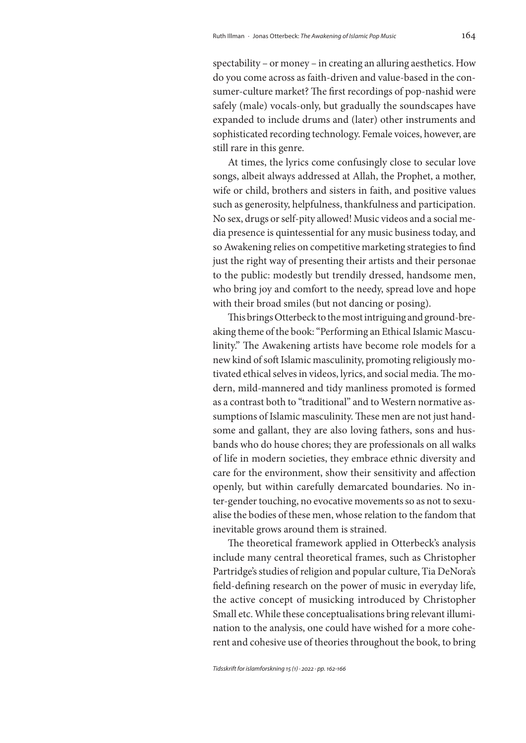spectability – or money – in creating an alluring aesthetics. How do you come across as faith-driven and value-based in the consumer-culture market? The first recordings of pop-nashid were safely (male) vocals-only, but gradually the soundscapes have expanded to include drums and (later) other instruments and sophisticated recording technology. Female voices, however, are still rare in this genre.

At times, the lyrics come confusingly close to secular love songs, albeit always addressed at Allah, the Prophet, a mother, wife or child, brothers and sisters in faith, and positive values such as generosity, helpfulness, thankfulness and participation. No sex, drugs or self-pity allowed! Music videos and a social media presence is quintessential for any music business today, and so Awakening relies on competitive marketing strategies to find just the right way of presenting their artists and their personae to the public: modestly but trendily dressed, handsome men, who bring joy and comfort to the needy, spread love and hope with their broad smiles (but not dancing or posing).

This brings Otterbeck to the most intriguing and ground-breaking theme of the book: "Performing an Ethical Islamic Masculinity." The Awakening artists have become role models for a new kind of soft Islamic masculinity, promoting religiously motivated ethical selves in videos, lyrics, and social media. The modern, mild-mannered and tidy manliness promoted is formed as a contrast both to "traditional" and to Western normative assumptions of Islamic masculinity. These men are not just handsome and gallant, they are also loving fathers, sons and husbands who do house chores; they are professionals on all walks of life in modern societies, they embrace ethnic diversity and care for the environment, show their sensitivity and affection openly, but within carefully demarcated boundaries. No inter-gender touching, no evocative movements so as not to sexualise the bodies of these men, whose relation to the fandom that inevitable grows around them is strained.

The theoretical framework applied in Otterbeck's analysis include many central theoretical frames, such as Christopher Partridge's studies of religion and popular culture, Tia DeNora's field-defining research on the power of music in everyday life, the active concept of musicking introduced by Christopher Small etc. While these conceptualisations bring relevant illumination to the analysis, one could have wished for a more coherent and cohesive use of theories throughout the book, to bring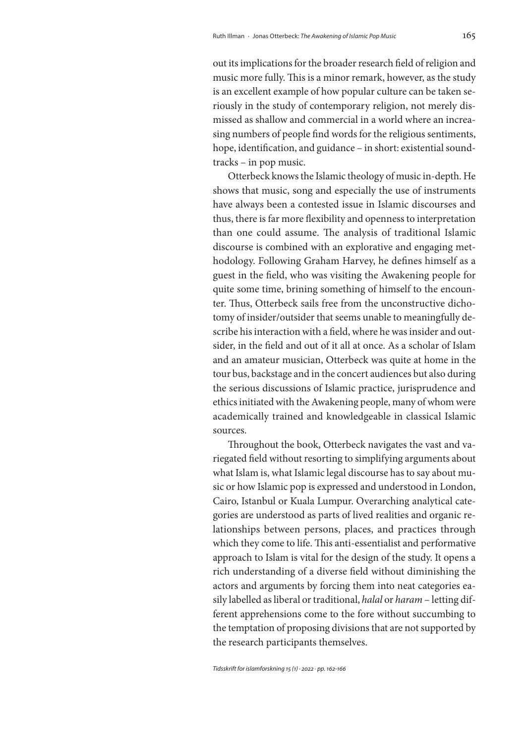out its implications for the broader research field of religion and music more fully. This is a minor remark, however, as the study is an excellent example of how popular culture can be taken seriously in the study of contemporary religion, not merely dismissed as shallow and commercial in a world where an increasing numbers of people find words for the religious sentiments, hope, identification, and guidance – in short: existential soundtracks – in pop music.

Otterbeck knows the Islamic theology of music in-depth. He shows that music, song and especially the use of instruments have always been a contested issue in Islamic discourses and thus, there is far more flexibility and openness to interpretation than one could assume. The analysis of traditional Islamic discourse is combined with an explorative and engaging methodology. Following Graham Harvey, he defines himself as a guest in the field, who was visiting the Awakening people for quite some time, brining something of himself to the encounter. Thus, Otterbeck sails free from the unconstructive dichotomy of insider/outsider that seems unable to meaningfully describe his interaction with a field, where he was insider and outsider, in the field and out of it all at once. As a scholar of Islam and an amateur musician, Otterbeck was quite at home in the tour bus, backstage and in the concert audiences but also during the serious discussions of Islamic practice, jurisprudence and ethics initiated with the Awakening people, many of whom were academically trained and knowledgeable in classical Islamic sources.

Throughout the book, Otterbeck navigates the vast and variegated field without resorting to simplifying arguments about what Islam is, what Islamic legal discourse has to say about music or how Islamic pop is expressed and understood in London, Cairo, Istanbul or Kuala Lumpur. Overarching analytical categories are understood as parts of lived realities and organic relationships between persons, places, and practices through which they come to life. This anti-essentialist and performative approach to Islam is vital for the design of the study. It opens a rich understanding of a diverse field without diminishing the actors and arguments by forcing them into neat categories easily labelled as liberal or traditional, *halal* or *haram* – letting different apprehensions come to the fore without succumbing to the temptation of proposing divisions that are not supported by the research participants themselves.